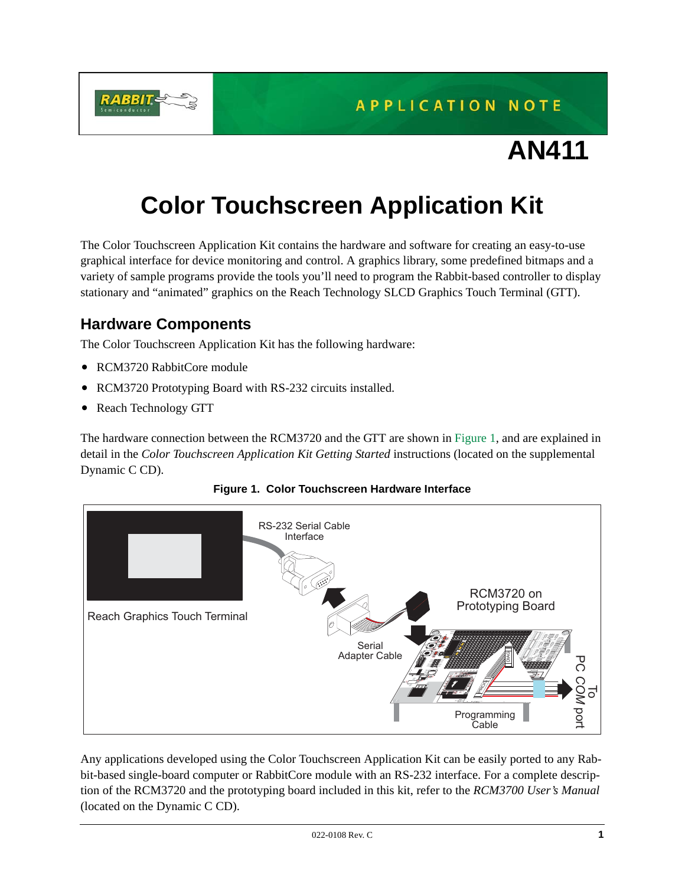

**APPLICATION NOTE** 

# **AN411**

# **Color Touchscreen Application Kit**

The Color Touchscreen Application Kit contains the hardware and software for creating an easy-to-use graphical interface for device monitoring and control. A graphics library, some predefined bitmaps and a variety of sample programs provide the tools you'll need to program the Rabbit-based controller to display stationary and "animated" graphics on the Reach Technology SLCD Graphics Touch Terminal (GTT).

# **Hardware Components**

The Color Touchscreen Application Kit has the following hardware:

- RCM3720 RabbitCore module
- RCM3720 Prototyping Board with RS-232 circuits installed.
- Reach Technology GTT

The hardware connection between the RCM3720 and the GTT are shown in [Figure 1](#page-0-0), and are explained in detail in the *Color Touchscreen Application Kit Getting Started* instructions (located on the supplemental Dynamic C CD).

<span id="page-0-0"></span>

### **Figure 1. Color Touchscreen Hardware Interface**

Any applications developed using the Color Touchscreen Application Kit can be easily ported to any Rabbit-based single-board computer or RabbitCore module with an RS-232 interface. For a complete description of the RCM3720 and the prototyping board included in this kit, refer to the *RCM3700 User's Manual* (located on the Dynamic C CD).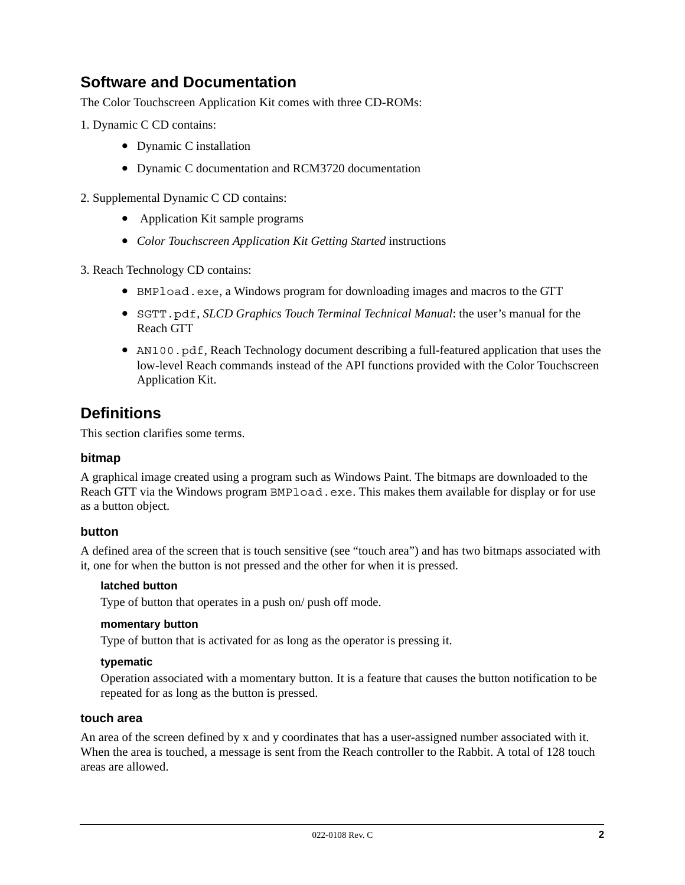# **Software and Documentation**

The Color Touchscreen Application Kit comes with three CD-ROMs:

- 1. Dynamic C CD contains:
	- Dynamic C installation
	- Dynamic C documentation and RCM3720 documentation
- 2. Supplemental Dynamic C CD contains:
	- Application Kit sample programs
	- *Color Touchscreen Application Kit Getting Started* instructions
- 3. Reach Technology CD contains:
	- BMPload.exe, a Windows program for downloading images and macros to the GTT
	- SGTT.pdf, *SLCD Graphics Touch Terminal Technical Manual*: the user's manual for the Reach GTT
	- AN100.pdf, Reach Technology document describing a full-featured application that uses the low-level Reach commands instead of the API functions provided with the Color Touchscreen Application Kit.

# **Definitions**

This section clarifies some terms.

### **bitmap**

A graphical image created using a program such as Windows Paint. The bitmaps are downloaded to the Reach GTT via the Windows program BMPload.exe. This makes them available for display or for use as a button object.

### **button**

A defined area of the screen that is touch sensitive (see "touch area") and has two bitmaps associated with it, one for when the button is not pressed and the other for when it is pressed.

#### **latched button**

Type of button that operates in a push on/ push off mode.

#### **momentary button**

Type of button that is activated for as long as the operator is pressing it.

#### **typematic**

Operation associated with a momentary button. It is a feature that causes the button notification to be repeated for as long as the button is pressed.

#### **touch area**

An area of the screen defined by x and y coordinates that has a user-assigned number associated with it. When the area is touched, a message is sent from the Reach controller to the Rabbit. A total of 128 touch areas are allowed.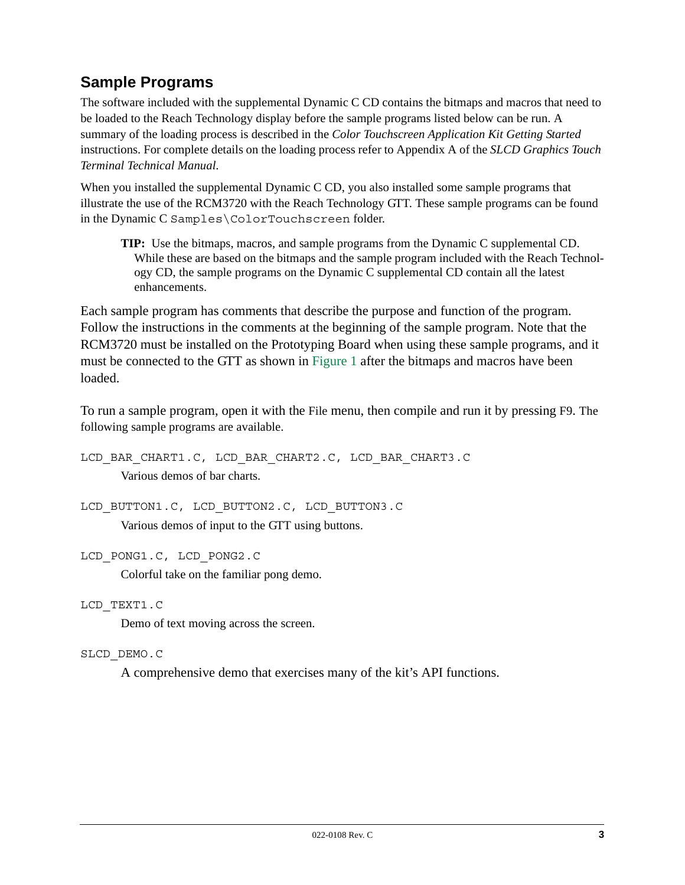# **Sample Programs**

The software included with the supplemental Dynamic C CD contains the bitmaps and macros that need to be loaded to the Reach Technology display before the sample programs listed below can be run. A summary of the loading process is described in the *Color Touchscreen Application Kit Getting Started* instructions. For complete details on the loading process refer to Appendix A of the *SLCD Graphics Touch Terminal Technical Manual*.

When you installed the supplemental Dynamic C CD, you also installed some sample programs that illustrate the use of the RCM3720 with the Reach Technology GTT. These sample programs can be found in the Dynamic C Samples\ColorTouchscreen folder.

**TIP:** Use the bitmaps, macros, and sample programs from the Dynamic C supplemental CD. While these are based on the bitmaps and the sample program included with the Reach Technology CD, the sample programs on the Dynamic C supplemental CD contain all the latest enhancements.

Each sample program has comments that describe the purpose and function of the program. Follow the instructions in the comments at the beginning of the sample program. Note that the RCM3720 must be installed on the Prototyping Board when using these sample programs, and it must be connected to the GTT as shown in [Figure 1](#page-0-0) after the bitmaps and macros have been loaded.

To run a sample program, open it with the File menu, then compile and run it by pressing F9. The following sample programs are available.

LCD\_BAR\_CHART1.C, LCD\_BAR\_CHART2.C, LCD\_BAR\_CHART3.C Various demos of bar charts.

LCD\_BUTTON1.C, LCD\_BUTTON2.C, LCD\_BUTTON3.C Various demos of input to the GTT using buttons.

LCD\_PONG1.C, LCD\_PONG2.C

Colorful take on the familiar pong demo.

LCD\_TEXT1.C

Demo of text moving across the screen.

### SLCD\_DEMO.C

A comprehensive demo that exercises many of the kit's API functions.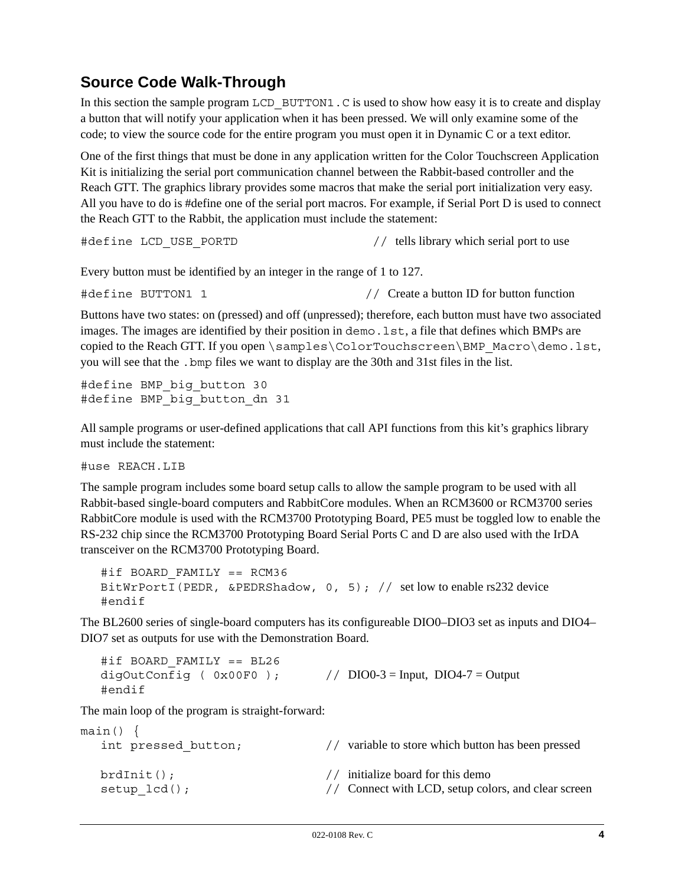# **Source Code Walk-Through**

In this section the sample program LCD  $\overline{B}$  BUTTON1. C is used to show how easy it is to create and display a button that will notify your application when it has been pressed. We will only examine some of the code; to view the source code for the entire program you must open it in Dynamic C or a text editor.

One of the first things that must be done in any application written for the Color Touchscreen Application Kit is initializing the serial port communication channel between the Rabbit-based controller and the Reach GTT. The graphics library provides some macros that make the serial port initialization very easy. All you have to do is #define one of the serial port macros. For example, if Serial Port D is used to connect the Reach GTT to the Rabbit, the application must include the statement:

#define LCD\_USE\_PORTD // tells library which serial port to use

Every button must be identified by an integer in the range of 1 to 127.

#define BUTTON1 1 // Create a button ID for button function

Buttons have two states: on (pressed) and off (unpressed); therefore, each button must have two associated images. The images are identified by their position in demo. Lst, a file that defines which BMPs are copied to the Reach GTT. If you open  $\simeq\ColorTouchscreen\BBP$  Macro $\dem{1st}$ , you will see that the .bmp files we want to display are the 30th and 31st files in the list.

#define BMP big button 30 #define BMP\_big\_button\_dn 31

All sample programs or user-defined applications that call API functions from this kit's graphics library must include the statement:

#use REACH.LIB

The sample program includes some board setup calls to allow the sample program to be used with all Rabbit-based single-board computers and RabbitCore modules. When an RCM3600 or RCM3700 series RabbitCore module is used with the RCM3700 Prototyping Board, PE5 must be toggled low to enable the RS-232 chip since the RCM3700 Prototyping Board Serial Ports C and D are also used with the IrDA transceiver on the RCM3700 Prototyping Board.

```
#if BOARD_FAMILY == RCM36
BitWrPortI(PEDR, &PEDRShadow, 0, 5); // set low to enable rs232 device
#endif
```
The BL2600 series of single-board computers has its configureable DIO0–DIO3 set as inputs and DIO4– DIO7 set as outputs for use with the Demonstration Board.

#if BOARD\_FAMILY == BL26 digOutConfig (  $0x00F0$  );  $// DIO0-3 = Input, DIO4-7 = Output$ #endif

The main loop of the program is straight-forward:

| $main() \{$<br>int pressed button; | $\prime$ / | variable to store which button has been pressed                                          |
|------------------------------------|------------|------------------------------------------------------------------------------------------|
| $brdInit()$ ;<br>$setup$ $lcd()$ ; |            | // initialize board for this demo<br>// Connect with LCD, setup colors, and clear screen |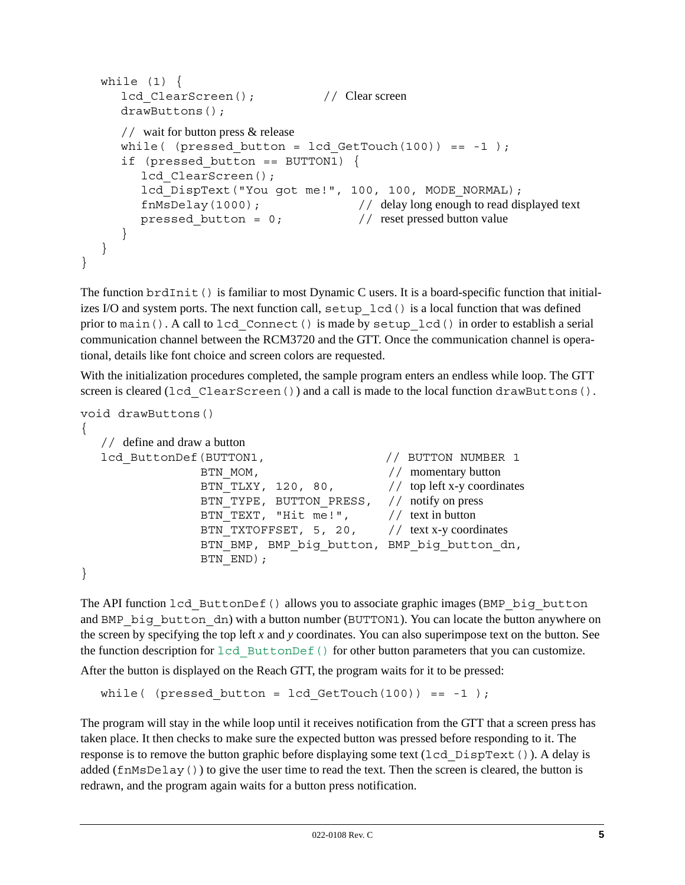```
while (1) {
     lcd ClearScreen(); // Clear screen
     drawButtons();
     // wait for button press & release
     while( (pressed button = lcd GetTouch(100)) == -1 );
     if (pressed button == BUTTON1) {
        lcd ClearScreen();
        lcd DispText("You got me!", 100, 100, MODE NORMAL);
        fnMsDelay(1000); // delay long enough to read displayed text
        pressed button = 0; // reset pressed button value
     }
  }
}
```
The function brdInit() is familiar to most Dynamic C users. It is a board-specific function that initializes I/O and system ports. The next function call,  $setup$   $led$  () is a local function that was defined prior to main(). A call to lcd\_Connect() is made by setup\_lcd() in order to establish a serial communication channel between the RCM3720 and the GTT. Once the communication channel is operational, details like font choice and screen colors are requested.

With the initialization procedures completed, the sample program enters an endless while loop. The GTT screen is cleared (lcd ClearScreen()) and a call is made to the local function drawButtons().

```
void drawButtons()
{
  // define and draw a button
  lcd ButtonDef(BUTTON1, // BUTTON NUMBER 1
                BTN MOM, // momentary button
                BTN TLXY, 120, 80, // top left x-y coordinates
                BTN TYPE, BUTTON PRESS, // notify on press
                BTN TEXT, "Hit me!", // text in button
                BTN TXTOFFSET, 5, 20, // text x-y coordinates
                BTN BMP, BMP big button, BMP big button dn,
                BTN END) ;
```
}

The API function lcd ButtonDef() allows you to associate graphic images (BMP big button and BMP\_big\_button\_dn) with a button number (BUTTON1). You can locate the button anywhere on the screen by specifying the top left *x* and *y* coordinates. You can also superimpose text on the button. See the function description for lcd ButtonDef() for other button parameters that you can customize.

After the button is displayed on the Reach GTT, the program waits for it to be pressed:

```
while( (pressed button = lcd GetTouch(100)) == -1 );
```
The program will stay in the while loop until it receives notification from the GTT that a screen press has taken place. It then checks to make sure the expected button was pressed before responding to it. The response is to remove the button graphic before displaying some text (lcd DispText()). A delay is added (fnMsDelay()) to give the user time to read the text. Then the screen is cleared, the button is redrawn, and the program again waits for a button press notification.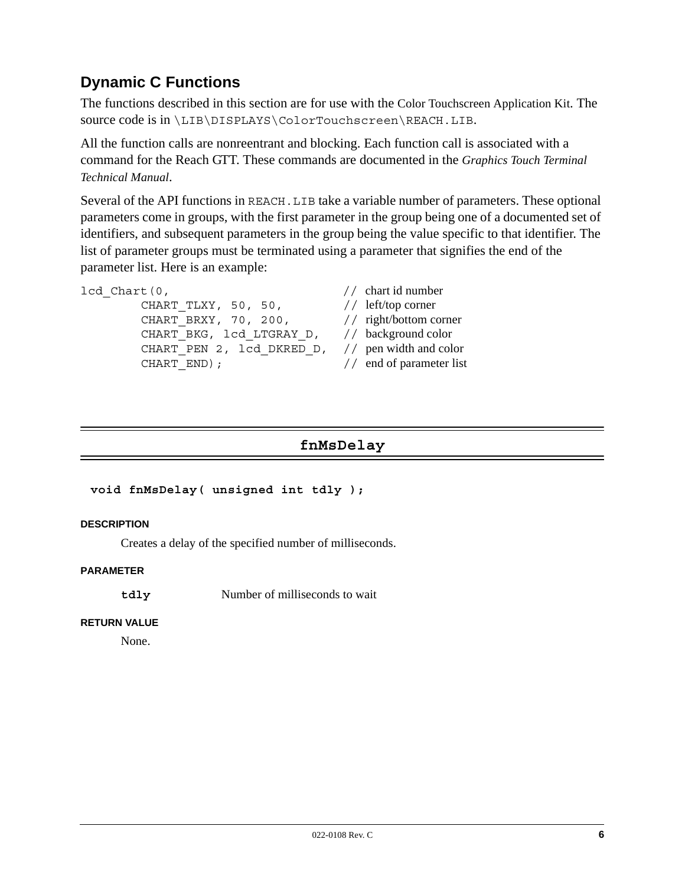# **Dynamic C Functions**

The functions described in this section are for use with the Color Touchscreen Application Kit. The source code is in \LIB\DISPLAYS\ColorTouchscreen\REACH.LIB.

All the function calls are nonreentrant and blocking. Each function call is associated with a command for the Reach GTT. These commands are documented in the *Graphics Touch Terminal Technical Manual*.

Several of the API functions in REACH.LIB take a variable number of parameters. These optional parameters come in groups, with the first parameter in the group being one of a documented set of identifiers, and subsequent parameters in the group being the value specific to that identifier. The list of parameter groups must be terminated using a parameter that signifies the end of the parameter list. Here is an example:

```
lcd Chart(0, // chart id number
       CHART TLXY, 50, 50, // left/top corner
       CHART BRXY, 70, 200, // right/bottom corner
       CHART_BKG, lcd LTGRAY_D, // background color
       CHART PEN 2, lcd DKRED D, // pen width and color
       CHART END); // end of parameter list
```
# **fnMsDelay**

### **void fnMsDelay( unsigned int tdly );**

#### **DESCRIPTION**

Creates a delay of the specified number of milliseconds.

#### **PARAMETER**

**tdly** Number of milliseconds to wait

#### **RETURN VALUE**

None.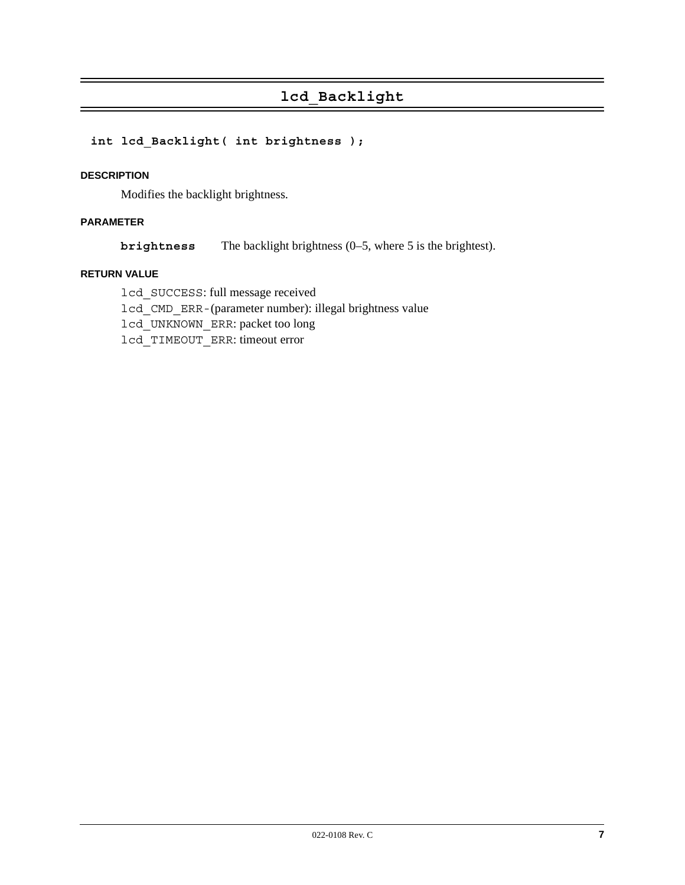# **lcd\_Backlight**

# **int lcd\_Backlight( int brightness );**

#### **DESCRIPTION**

Modifies the backlight brightness.

### **PARAMETER**

**brightness** The backlight brightness (0–5, where 5 is the brightest).

#### **RETURN VALUE**

lcd\_SUCCESS: full message received lcd\_CMD\_ERR-(parameter number): illegal brightness value lcd\_UNKNOWN\_ERR: packet too long lcd\_TIMEOUT\_ERR: timeout error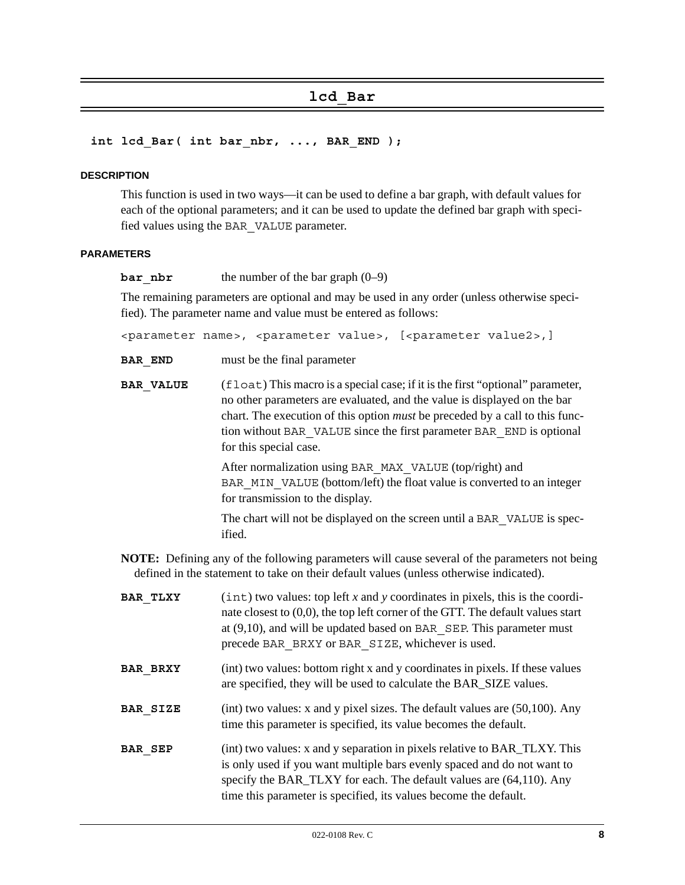# **lcd\_Bar**

#### int lcd Bar( int bar nbr, ..., BAR END );

#### **DESCRIPTION**

This function is used in two ways—it can be used to define a bar graph, with default values for each of the optional parameters; and it can be used to update the defined bar graph with specified values using the BAR\_VALUE parameter.

#### **PARAMETERS**

**bar** nbr the number of the bar graph (0–9)

The remaining parameters are optional and may be used in any order (unless otherwise specified). The parameter name and value must be entered as follows:

<parameter name>, <parameter value>, [<parameter value2>,]

**BAR** END must be the final parameter

**BAR\_VALUE** (float) This macro is a special case; if it is the first "optional" parameter, no other parameters are evaluated, and the value is displayed on the bar chart. The execution of this option *must* be preceded by a call to this function without BAR\_VALUE since the first parameter BAR\_END is optional for this special case.

> After normalization using BAR\_MAX\_VALUE (top/right) and BAR MIN VALUE (bottom/left) the float value is converted to an integer for transmission to the display.

> The chart will not be displayed on the screen until a BAR\_VALUE is specified.

**NOTE:** Defining any of the following parameters will cause several of the parameters not being defined in the statement to take on their default values (unless otherwise indicated).

| <b>BAR TLXY</b> | $(int)$ two values: top left x and y coordinates in pixels, this is the coordi-<br>nate closest to $(0,0)$ , the top left corner of the GTT. The default values start<br>at $(9,10)$ , and will be updated based on BAR SEP. This parameter must<br>precede BAR BRXY or BAR SIZE, whichever is used. |
|-----------------|------------------------------------------------------------------------------------------------------------------------------------------------------------------------------------------------------------------------------------------------------------------------------------------------------|
| <b>BAR BRXY</b> | (int) two values: bottom right x and y coordinates in pixels. If these values<br>are specified, they will be used to calculate the BAR_SIZE values.                                                                                                                                                  |
| <b>BAR SIZE</b> | (int) two values: x and y pixel sizes. The default values are $(50,100)$ . Any<br>time this parameter is specified, its value becomes the default.                                                                                                                                                   |
| <b>BAR SEP</b>  | (int) two values: x and y separation in pixels relative to BAR_TLXY. This<br>is only used if you want multiple bars evenly spaced and do not want to<br>specify the BAR_TLXY for each. The default values are (64,110). Any<br>time this parameter is specified, its values become the default.      |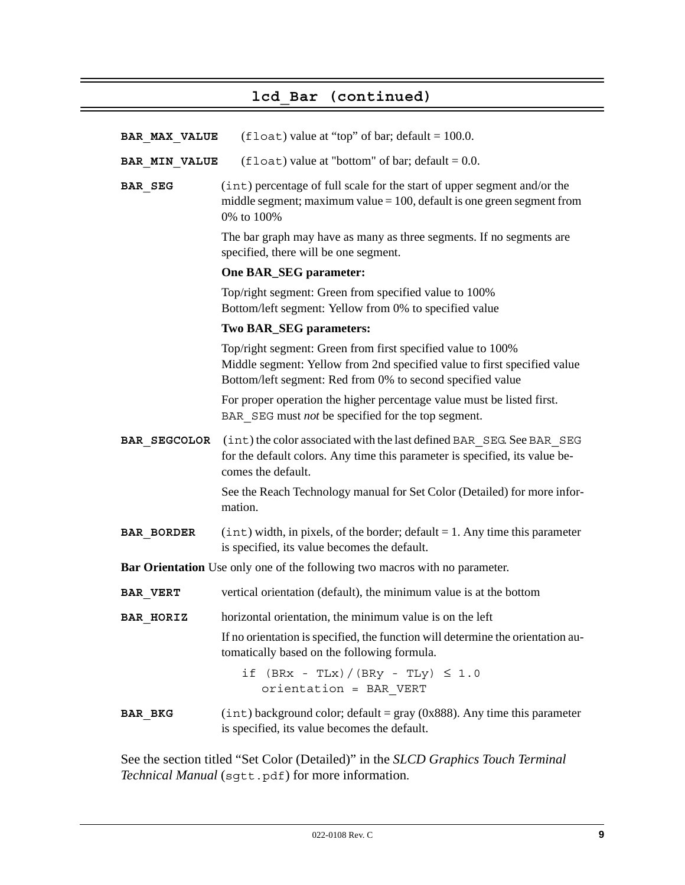# **lcd\_Bar (continued)**

| <b>BAR MAX VALUE</b> | $(float)$ value at "top" of bar; default = 100.0.                                                                                                                                                     |
|----------------------|-------------------------------------------------------------------------------------------------------------------------------------------------------------------------------------------------------|
| <b>BAR MIN VALUE</b> | (float) value at "bottom" of bar; default = $0.0$ .                                                                                                                                                   |
| <b>BAR SEG</b>       | (int) percentage of full scale for the start of upper segment and/or the<br>middle segment; maximum value $= 100$ , default is one green segment from<br>0% to 100%                                   |
|                      | The bar graph may have as many as three segments. If no segments are<br>specified, there will be one segment.                                                                                         |
|                      | One BAR_SEG parameter:                                                                                                                                                                                |
|                      | Top/right segment: Green from specified value to 100%<br>Bottom/left segment: Yellow from 0% to specified value                                                                                       |
|                      | <b>Two BAR_SEG parameters:</b>                                                                                                                                                                        |
|                      | Top/right segment: Green from first specified value to 100%<br>Middle segment: Yellow from 2nd specified value to first specified value<br>Bottom/left segment: Red from 0% to second specified value |
|                      | For proper operation the higher percentage value must be listed first.<br>BAR SEG must <i>not</i> be specified for the top segment.                                                                   |
| <b>BAR SEGCOLOR</b>  | (int) the color associated with the last defined BAR SEG. See BAR SEG<br>for the default colors. Any time this parameter is specified, its value be-<br>comes the default.                            |
|                      | See the Reach Technology manual for Set Color (Detailed) for more infor-<br>mation.                                                                                                                   |
| BAR BORDER           | $(int)$ width, in pixels, of the border; default = 1. Any time this parameter<br>is specified, its value becomes the default.                                                                         |
|                      | <b>Bar Orientation</b> Use only one of the following two macros with no parameter.                                                                                                                    |
| <b>BAR VERT</b>      | vertical orientation (default), the minimum value is at the bottom                                                                                                                                    |
| <b>BAR HORIZ</b>     | horizontal orientation, the minimum value is on the left                                                                                                                                              |
|                      | If no orientation is specified, the function will determine the orientation au-<br>tomatically based on the following formula.                                                                        |
|                      | if $(BRx - TLx) / (BRy - TLy) \le 1.0$<br>orientation = BAR VERT                                                                                                                                      |
| BAR BKG              | $(int)$ background color; default = gray (0x888). Any time this parameter<br>is specified, its value becomes the default.                                                                             |

See the section titled "Set Color (Detailed)" in the *SLCD Graphics Touch Terminal Technical Manual* (sgtt.pdf) for more information.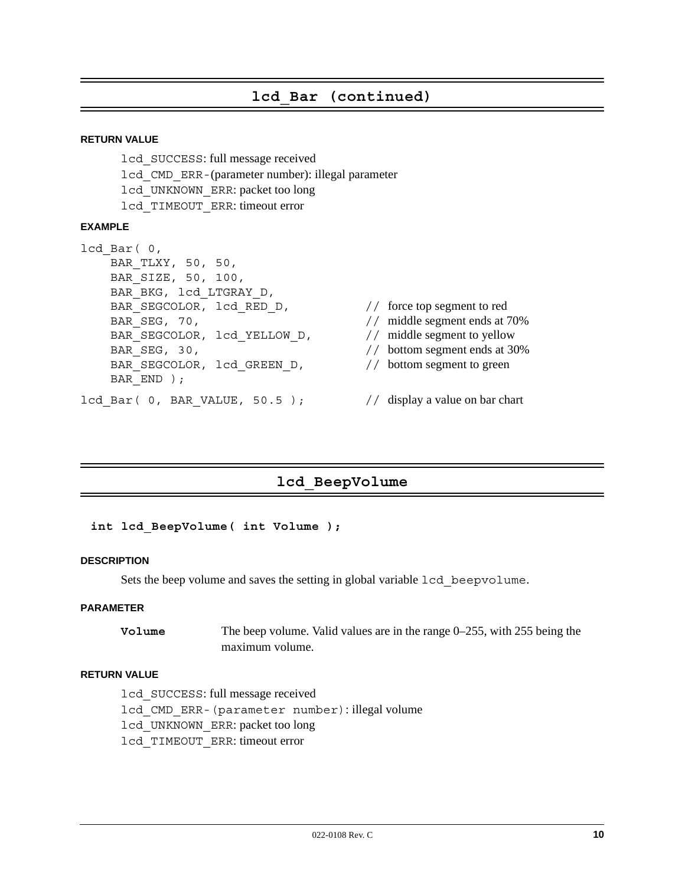# **lcd\_Bar (continued)**

#### **RETURN VALUE**

lcd\_SUCCESS: full message received lcd\_CMD\_ERR-(parameter number): illegal parameter lcd\_UNKNOWN\_ERR: packet too long lcd\_TIMEOUT\_ERR: timeout error

#### **EXAMPLE**

```
lcd_Bar( 0,
    BAR_TLXY, 50, 50,
    BAR_SIZE, 50, 100,
    BAR_BKG, lcd_LTGRAY_D,
   BAR_SEGCOLOR, lcd_RED_D, // force top segment to red
   BAR SEG, 70, \frac{1}{\sqrt{2}} middle segment ends at 70%
   BAR_SEGCOLOR, lcd_YELLOW_D, // middle segment to yellow
   BAR SEG, 30, \frac{1}{2} bottom segment ends at 30%
   BAR_SEGCOLOR, lcd_GREEN_D, // bottom segment to green
   BAR END ) ;
```
- 
- 
- 
- 
- 
- lcd Bar( 0, BAR VALUE, 50.5 ); // display a value on bar chart

# **lcd\_BeepVolume**

#### **int lcd\_BeepVolume( int Volume );**

#### **DESCRIPTION**

Sets the beep volume and saves the setting in global variable  $lcd$  beepvolume.

#### **PARAMETER**

**Volume** The beep volume. Valid values are in the range 0–255, with 255 being the maximum volume.

#### **RETURN VALUE**

lcd\_SUCCESS: full message received lcd\_CMD\_ERR-(parameter number): illegal volume lcd\_UNKNOWN\_ERR: packet too long lcd\_TIMEOUT\_ERR: timeout error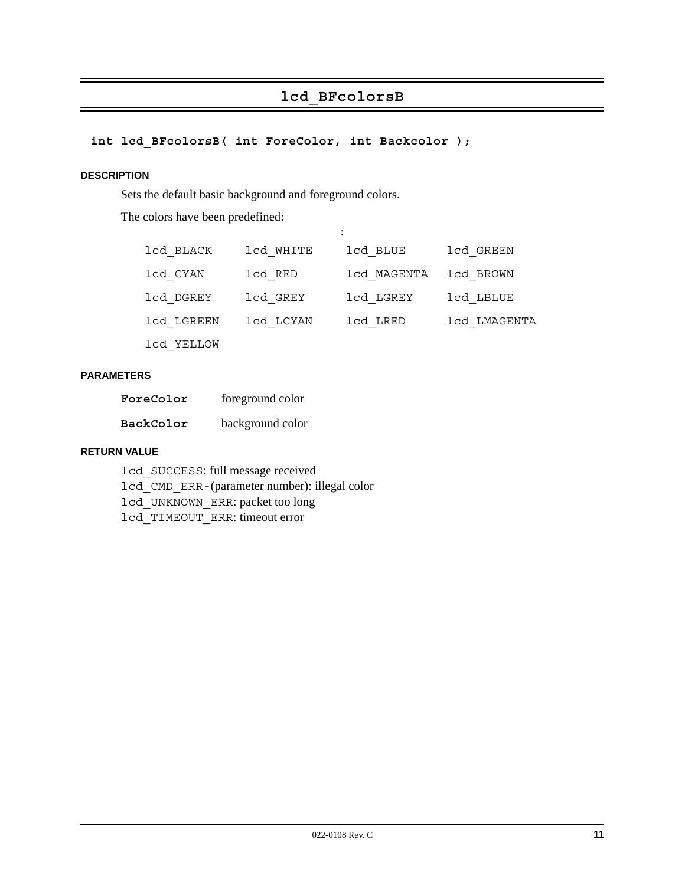# **lcd\_BFcolorsB**

# **int lcd\_BFcolorsB( int ForeColor, int Backcolor );**

#### **DESCRIPTION**

Sets the default basic background and foreground colors.

The colors have been predefined:

| lcd BLACK  | lcd WHITE | lcd BLUE              | lcd GREEN    |
|------------|-----------|-----------------------|--------------|
| lcd CYAN   | lcd RED   | 1cd MAGENTA 1cd BROWN |              |
| lcd DGREY  | lcd GREY  | lcd LGREY             | lcd LBLUE    |
| lcd LGREEN | lcd LCYAN | lcd LRED              | lcd LMAGENTA |
| lcd YELLOW |           |                       |              |

:

#### **PARAMETERS**

| ForeColor | foreground color |
|-----------|------------------|
| BackColor | background color |

#### **RETURN VALUE**

lcd\_SUCCESS: full message received lcd\_CMD\_ERR-(parameter number): illegal color lcd\_UNKNOWN\_ERR: packet too long lcd\_TIMEOUT\_ERR: timeout error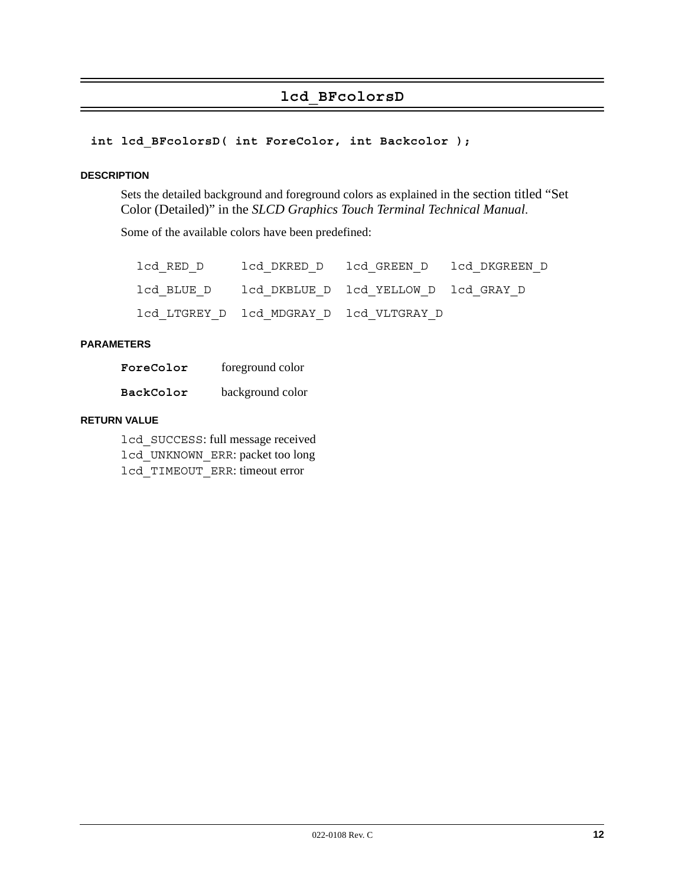# **lcd\_BFcolorsD**

#### <span id="page-11-0"></span>**int lcd\_BFcolorsD( int ForeColor, int Backcolor );**

#### **DESCRIPTION**

Sets the detailed background and foreground colors as explained in the section titled "Set Color (Detailed)" in the *SLCD Graphics Touch Terminal Technical Manual*.

Some of the available colors have been predefined:

|  | lcd RED D      lcd DKRED D   lcd GREEN D   lcd DKGREEN D |  |
|--|----------------------------------------------------------|--|
|  | lcd BLUE D 1cd DKBLUE D 1cd YELLOW D 1cd GRAY D          |  |
|  | lcd LTGREY D lcd MDGRAY D lcd VLTGRAY D                  |  |

#### **PARAMETERS**

| ForeColor | foreground color |
|-----------|------------------|
| BackColor | background color |

#### **RETURN VALUE**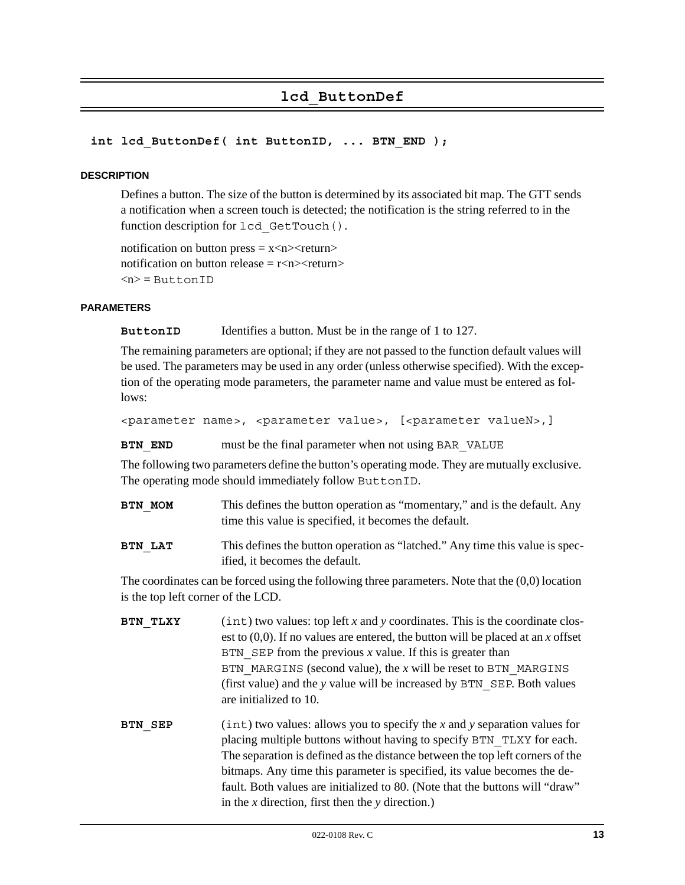# **lcd\_ButtonDef**

#### <span id="page-12-0"></span>int lcd ButtonDef( int ButtonID, ... BTN END );

#### **DESCRIPTION**

Defines a button. The size of the button is determined by its associated bit map. The GTT sends a notification when a screen touch is detected; the notification is the string referred to in the function description for lcd GetTouch().

notification on button press  $= x$  < n $>$  return $>$ notification on button release  $\equiv$  r<n $\ge$ creturn $\ge$  $\langle n \rangle$  = ButtonID

#### **PARAMETERS**

**ButtonID** Identifies a button. Must be in the range of 1 to 127.

The remaining parameters are optional; if they are not passed to the function default values will be used. The parameters may be used in any order (unless otherwise specified). With the exception of the operating mode parameters, the parameter name and value must be entered as follows:

<parameter name>, <parameter value>, [<parameter valueN>,]

**BTN\_END** must be the final parameter when not using BAR\_VALUE

The following two parameters define the button's operating mode. They are mutually exclusive. The operating mode should immediately follow ButtonID.

- **BTN MOM** This defines the button operation as "momentary," and is the default. Any time this value is specified, it becomes the default.
- **BTN LAT** This defines the button operation as "latched." Any time this value is specified, it becomes the default.

The coordinates can be forced using the following three parameters. Note that the (0,0) location is the top left corner of the LCD.

- **BTN TLXY** (int) two values: top left *x* and *y* coordinates. This is the coordinate closest to (0,0). If no values are entered, the button will be placed at an *x* offset BTN  $SEP$  from the previous *x* value. If this is greater than BTN\_MARGINS (second value), the *x* will be reset to BTN\_MARGINS (first value) and the *y* value will be increased by BTN\_SEP. Both values are initialized to 10.
- **BTN SEP** (int) two values: allows you to specify the *x* and *y* separation values for placing multiple buttons without having to specify BTN\_TLXY for each. The separation is defined as the distance between the top left corners of the bitmaps. Any time this parameter is specified, its value becomes the default. Both values are initialized to 80. (Note that the buttons will "draw" in the *x* direction, first then the *y* direction.)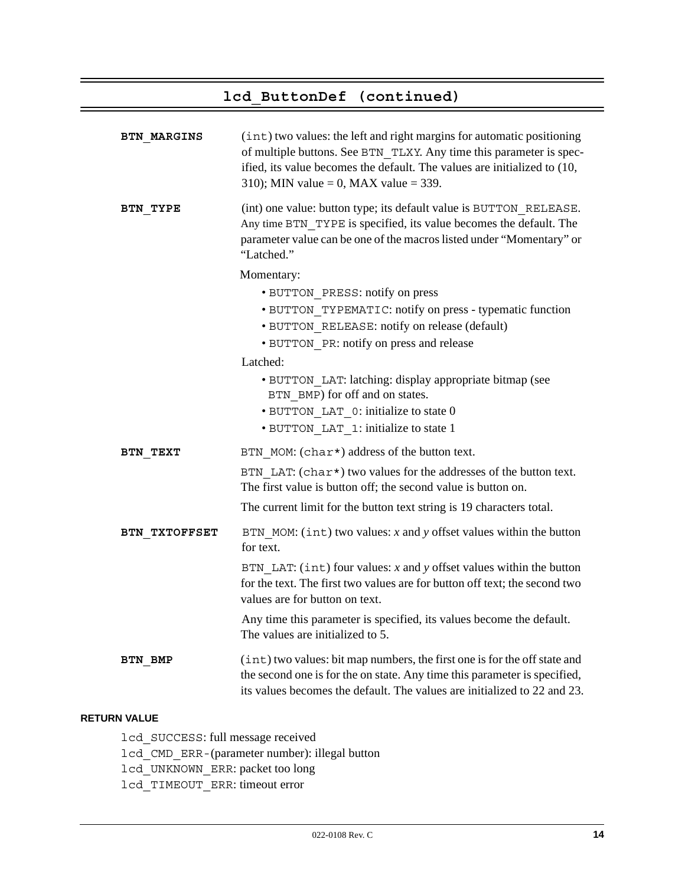# **lcd\_ButtonDef (continued)**

| BTN MARGINS    | (int) two values: the left and right margins for automatic positioning<br>of multiple buttons. See BTN TLXY. Any time this parameter is spec-<br>ified, its value becomes the default. The values are initialized to (10,<br>310); MIN value = 0, MAX value = 339. |
|----------------|--------------------------------------------------------------------------------------------------------------------------------------------------------------------------------------------------------------------------------------------------------------------|
| BTN TYPE       | (int) one value: button type; its default value is BUTTON RELEASE.<br>Any time BTN TYPE is specified, its value becomes the default. The<br>parameter value can be one of the macros listed under "Momentary" or<br>"Latched."                                     |
|                | Momentary:                                                                                                                                                                                                                                                         |
|                | · BUTTON PRESS: notify on press                                                                                                                                                                                                                                    |
|                | · BUTTON TYPEMATIC: notify on press - typematic function                                                                                                                                                                                                           |
|                | · BUTTON RELEASE: notify on release (default)                                                                                                                                                                                                                      |
|                | · BUTTON PR: notify on press and release                                                                                                                                                                                                                           |
|                | Latched:                                                                                                                                                                                                                                                           |
|                | • BUTTON LAT: latching: display appropriate bitmap (see<br>BTN BMP) for off and on states.                                                                                                                                                                         |
|                | • BUTTON LAT 0: initialize to state 0                                                                                                                                                                                                                              |
|                | • BUTTON LAT 1: initialize to state 1                                                                                                                                                                                                                              |
| BTN TEXT       | BTN MOM: (char*) address of the button text.                                                                                                                                                                                                                       |
|                | BTN LAT: (char*) two values for the addresses of the button text.<br>The first value is button off; the second value is button on.                                                                                                                                 |
|                | The current limit for the button text string is 19 characters total.                                                                                                                                                                                               |
| BTN TXTOFFSET  | BTN MOM: $(int)$ two values: x and y offset values within the button<br>for text.                                                                                                                                                                                  |
|                | BTN LAT: $(int)$ four values: x and y offset values within the button<br>for the text. The first two values are for button off text; the second two<br>values are for button on text.                                                                              |
|                | Any time this parameter is specified, its values become the default.<br>The values are initialized to 5.                                                                                                                                                           |
| <b>BTN BMP</b> | (int) two values: bit map numbers, the first one is for the off state and<br>the second one is for the on state. Any time this parameter is specified,<br>its values becomes the default. The values are initialized to 22 and 23.                                 |

#### **RETURN VALUE**

lcd\_SUCCESS: full message received lcd\_CMD\_ERR-(parameter number): illegal button lcd\_UNKNOWN\_ERR: packet too long lcd\_TIMEOUT\_ERR: timeout error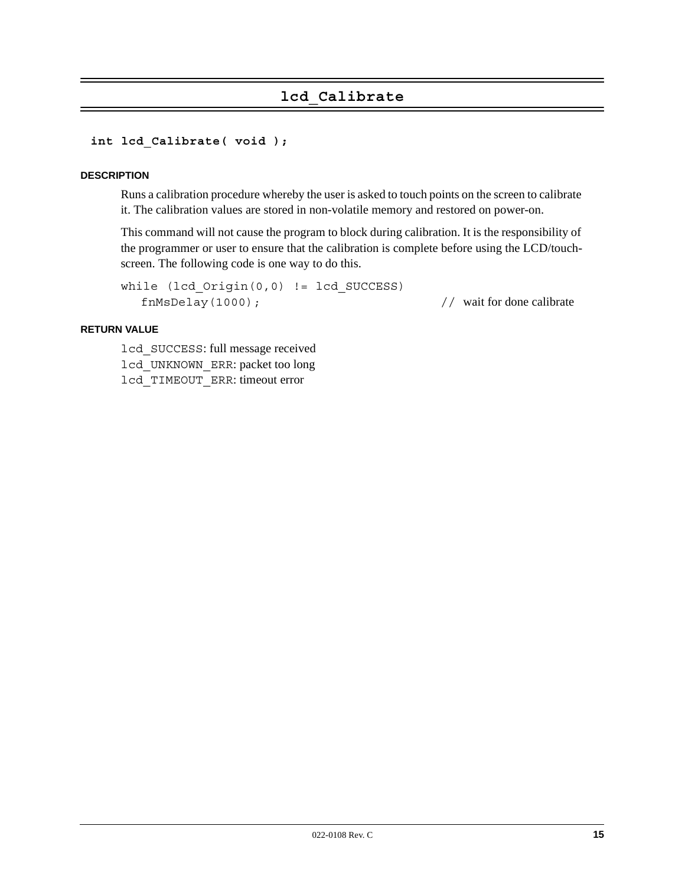# **lcd\_Calibrate**

#### **int lcd\_Calibrate( void );**

#### **DESCRIPTION**

Runs a calibration procedure whereby the user is asked to touch points on the screen to calibrate it. The calibration values are stored in non-volatile memory and restored on power-on.

This command will not cause the program to block during calibration. It is the responsibility of the programmer or user to ensure that the calibration is complete before using the LCD/touchscreen. The following code is one way to do this.

```
while (lcd_Origin(0,0) != lcd_SUCCESS)
  fnMsDelay(1000); // wait for done calibrate
```
#### **RETURN VALUE**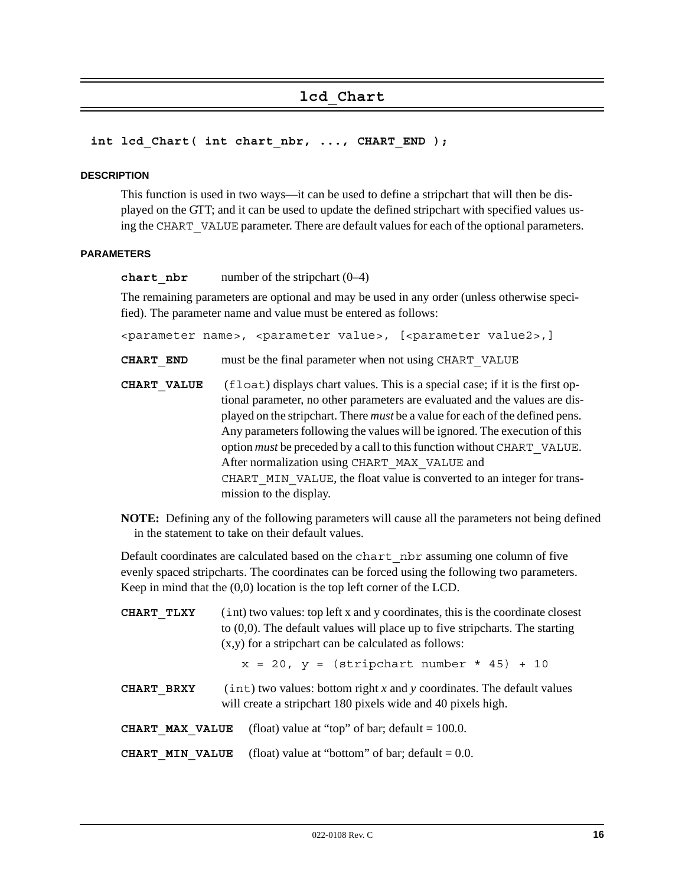# **lcd\_Chart**

#### int lcd Chart( int chart nbr, ..., CHART END );

#### **DESCRIPTION**

This function is used in two ways—it can be used to define a stripchart that will then be displayed on the GTT; and it can be used to update the defined stripchart with specified values using the CHART VALUE parameter. There are default values for each of the optional parameters.

#### **PARAMETERS**

**chart**  $n**br**$  number of the stripchart  $(0-4)$ 

The remaining parameters are optional and may be used in any order (unless otherwise specified). The parameter name and value must be entered as follows:

<parameter name>, <parameter value>, [<parameter value2>,]

**CHART\_END** must be the final parameter when not using CHART\_VALUE

- **CHART** VALUE (float) displays chart values. This is a special case; if it is the first optional parameter, no other parameters are evaluated and the values are displayed on the stripchart. There *must* be a value for each of the defined pens. Any parameters following the values will be ignored. The execution of this option *must* be preceded by a call to this function without CHART\_VALUE. After normalization using CHART\_MAX\_VALUE and CHART MIN VALUE, the float value is converted to an integer for transmission to the display.
- **NOTE:** Defining any of the following parameters will cause all the parameters not being defined in the statement to take on their default values.

Default coordinates are calculated based on the chart\_nbr assuming one column of five evenly spaced stripcharts. The coordinates can be forced using the following two parameters. Keep in mind that the (0,0) location is the top left corner of the LCD.

| CHART TLXY                                                                                                                                             | (int) two values: top left x and y coordinates, this is the coordinate closest<br>to $(0,0)$ . The default values will place up to five stripcharts. The starting<br>$(x,y)$ for a stripchart can be calculated as follows: |  |
|--------------------------------------------------------------------------------------------------------------------------------------------------------|-----------------------------------------------------------------------------------------------------------------------------------------------------------------------------------------------------------------------------|--|
|                                                                                                                                                        | $x = 20$ , $y =$ (stripchart number * 45) + 10                                                                                                                                                                              |  |
| $(int)$ two values: bottom right x and y coordinates. The default values<br>CHART BRXY<br>will create a stripchart 180 pixels wide and 40 pixels high. |                                                                                                                                                                                                                             |  |
| (float) value at "top" of bar; default = $100.0$ .<br>CHART MAX VALUE                                                                                  |                                                                                                                                                                                                                             |  |
|                                                                                                                                                        | (float) value at "bottom" of bar; default $= 0.0$ .<br>CHART MIN VALUE                                                                                                                                                      |  |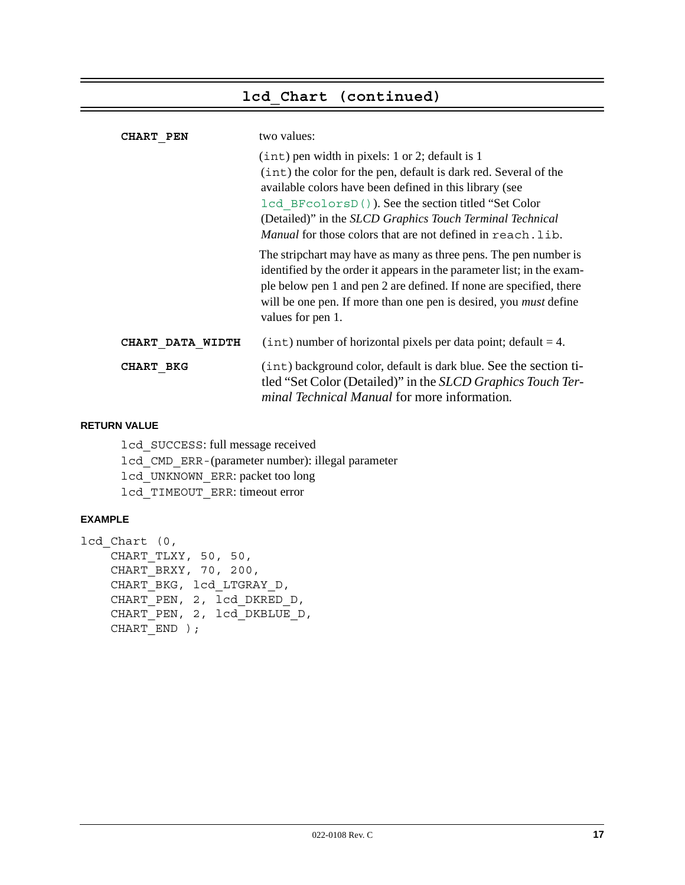# **lcd\_Chart (continued)**

| <b>CHART PEN</b> | two values:                                                                                                                                                                                                                                                                                                                                                                |
|------------------|----------------------------------------------------------------------------------------------------------------------------------------------------------------------------------------------------------------------------------------------------------------------------------------------------------------------------------------------------------------------------|
|                  | $(int)$ pen width in pixels: 1 or 2; default is 1<br>(int) the color for the pen, default is dark red. Several of the<br>available colors have been defined in this library (see<br>1cd BFcolorsD()). See the section titled "Set Color<br>(Detailed)" in the SLCD Graphics Touch Terminal Technical<br><i>Manual</i> for those colors that are not defined in reach. lib. |
|                  | The stripchart may have as many as three pens. The pen number is<br>identified by the order it appears in the parameter list; in the exam-<br>ple below pen 1 and pen 2 are defined. If none are specified, there<br>will be one pen. If more than one pen is desired, you <i>must</i> define<br>values for pen 1.                                                         |
| CHART DATA WIDTH | $(int)$ number of horizontal pixels per data point; default = 4.                                                                                                                                                                                                                                                                                                           |
| CHART BKG        | (int) background color, default is dark blue. See the section ti-<br>tled "Set Color (Detailed)" in the <i>SLCD Graphics Touch Ter-</i><br><i>minal Technical Manual</i> for more information.                                                                                                                                                                             |

#### **RETURN VALUE**

lcd\_SUCCESS: full message received lcd\_CMD\_ERR-(parameter number): illegal parameter lcd\_UNKNOWN\_ERR: packet too long lcd\_TIMEOUT\_ERR: timeout error

### **EXAMPLE**

```
lcd_Chart (0,
    CHART TLXY, 50, 50,
     CHART_BRXY, 70, 200,
     CHART_BKG, lcd_LTGRAY_D,
     CHART_PEN, 2, lcd_DKRED_D,
     CHART_PEN, 2, lcd_DKBLUE_D,
    CHART END ) ;
```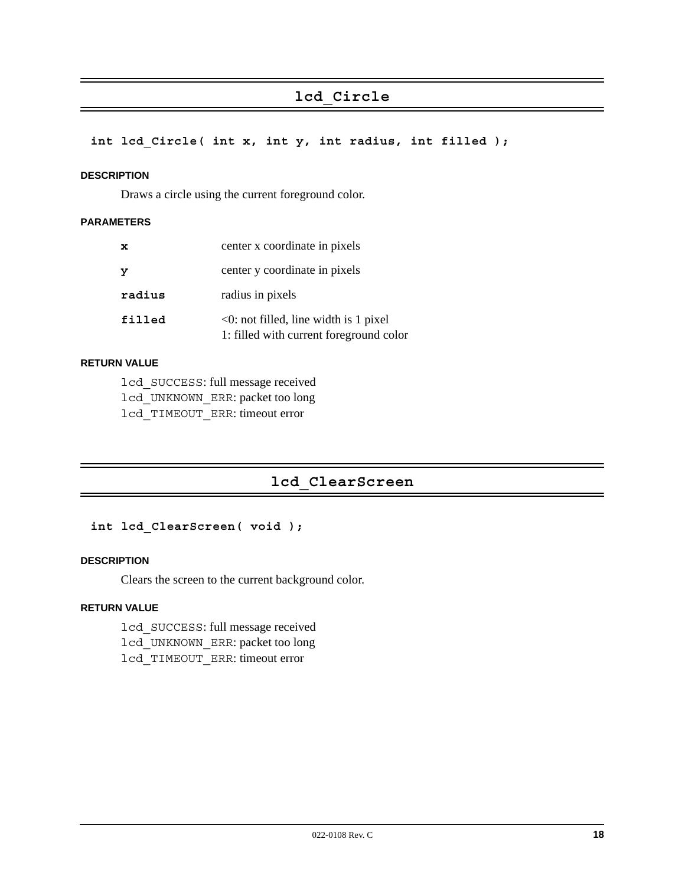# **lcd\_Circle**

**int lcd\_Circle( int x, int y, int radius, int filled );**

#### **DESCRIPTION**

Draws a circle using the current foreground color.

#### **PARAMETERS**

| $\mathbf x$ | center x coordinate in pixels                                                           |
|-------------|-----------------------------------------------------------------------------------------|
| У           | center y coordinate in pixels                                                           |
| radius      | radius in pixels                                                                        |
| filled      | $\leq 0$ : not filled, line width is 1 pixel<br>1: filled with current foreground color |

#### **RETURN VALUE**

lcd\_SUCCESS: full message received lcd\_UNKNOWN\_ERR: packet too long lcd\_TIMEOUT\_ERR: timeout error

# **lcd\_ClearScreen**

#### **int lcd\_ClearScreen( void );**

#### **DESCRIPTION**

Clears the screen to the current background color.

#### **RETURN VALUE**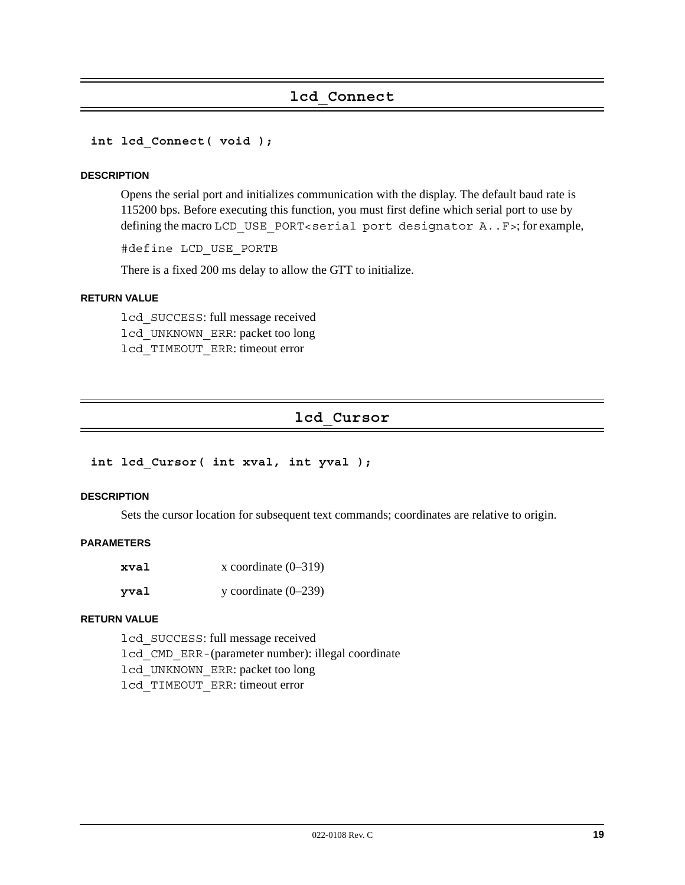# **lcd\_Connect**

**int lcd\_Connect( void );**

#### **DESCRIPTION**

Opens the serial port and initializes communication with the display. The default baud rate is 115200 bps. Before executing this function, you must first define which serial port to use by defining the macro LCD USE PORT<serial port designator A..F>; for example,

#define LCD\_USE\_PORTB

There is a fixed 200 ms delay to allow the GTT to initialize.

#### **RETURN VALUE**

lcd\_SUCCESS: full message received lcd\_UNKNOWN\_ERR: packet too long lcd\_TIMEOUT\_ERR: timeout error

# **lcd\_Cursor**

**int lcd\_Cursor( int xval, int yval );**

#### **DESCRIPTION**

Sets the cursor location for subsequent text commands; coordinates are relative to origin.

#### **PARAMETERS**

| xval | x coordinate $(0-319)$ |
|------|------------------------|
| vval | y coordinate $(0-239)$ |

#### **RETURN VALUE**

lcd\_SUCCESS: full message received lcd\_CMD\_ERR-(parameter number): illegal coordinate lcd\_UNKNOWN\_ERR: packet too long lcd\_TIMEOUT\_ERR: timeout error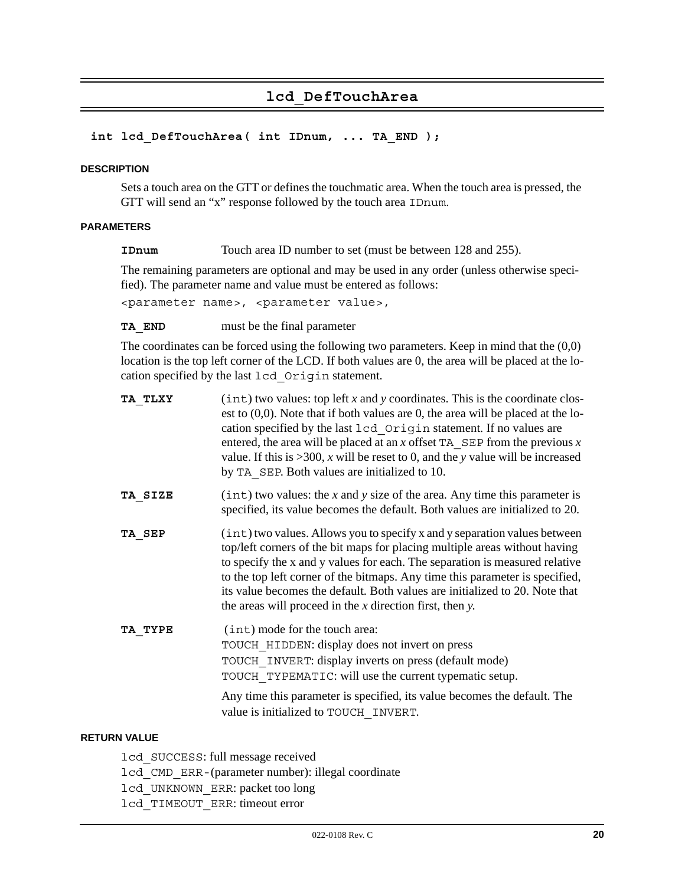# **lcd\_DefTouchArea**

#### **int lcd\_DefTouchArea( int IDnum, ... TA\_END );**

#### **DESCRIPTION**

Sets a touch area on the GTT or defines the touchmatic area. When the touch area is pressed, the GTT will send an "x" response followed by the touch area IDnum.

#### **PARAMETERS**

**IDnum** Touch area ID number to set (must be between 128 and 255).

The remaining parameters are optional and may be used in any order (unless otherwise specified). The parameter name and value must be entered as follows:

<parameter name>, <parameter value>,

#### **TA\_END** must be the final parameter

The coordinates can be forced using the following two parameters. Keep in mind that the (0,0) location is the top left corner of the LCD. If both values are 0, the area will be placed at the location specified by the last lcd\_Origin statement.

| TA TLXY | $(int)$ two values: top left x and y coordinates. This is the coordinate clos-<br>est to $(0,0)$ . Note that if both values are 0, the area will be placed at the lo-<br>cation specified by the last lcd Origin statement. If no values are<br>entered, the area will be placed at an x offset TA $\text{SEP}$ from the previous x<br>value. If this is $>300$ , x will be reset to 0, and the y value will be increased<br>by TA SEP. Both values are initialized to 10. |
|---------|----------------------------------------------------------------------------------------------------------------------------------------------------------------------------------------------------------------------------------------------------------------------------------------------------------------------------------------------------------------------------------------------------------------------------------------------------------------------------|
| TA SIZE | $(int)$ two values: the x and y size of the area. Any time this parameter is<br>specified, its value becomes the default. Both values are initialized to 20.                                                                                                                                                                                                                                                                                                               |
| TA SEP  | (int) two values. Allows you to specify x and y separation values between<br>top/left corners of the bit maps for placing multiple areas without having<br>to specify the x and y values for each. The separation is measured relative<br>to the top left corner of the bitmaps. Any time this parameter is specified,<br>its value becomes the default. Both values are initialized to 20. Note that<br>the areas will proceed in the $x$ direction first, then $y$ .     |
| TA TYPE | (int) mode for the touch area:<br>TOUCH HIDDEN: display does not invert on press<br>TOUCH INVERT: display inverts on press (default mode)<br>TOUCH TYPEMATIC: will use the current typematic setup.                                                                                                                                                                                                                                                                        |
|         | Any time this parameter is specified, its value becomes the default. The<br>value is initialized to TOUCH INVERT.                                                                                                                                                                                                                                                                                                                                                          |

#### **RETURN VALUE**

lcd\_SUCCESS: full message received

lcd\_CMD\_ERR-(parameter number): illegal coordinate

lcd\_UNKNOWN\_ERR: packet too long

lcd\_TIMEOUT\_ERR: timeout error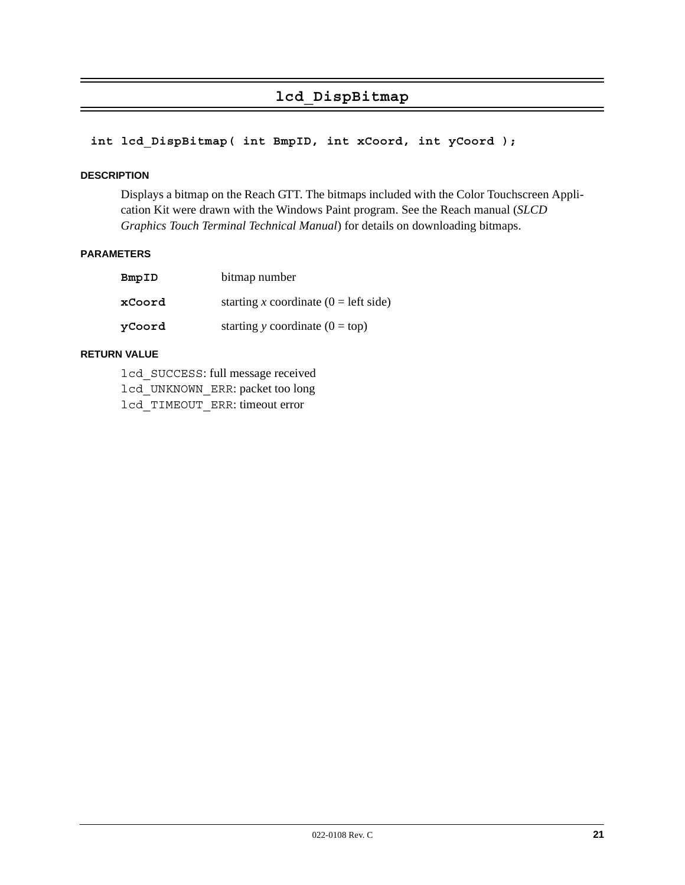# **lcd\_DispBitmap**

#### **int lcd\_DispBitmap( int BmpID, int xCoord, int yCoord );**

#### **DESCRIPTION**

Displays a bitmap on the Reach GTT. The bitmaps included with the Color Touchscreen Application Kit were drawn with the Windows Paint program. See the Reach manual (*SLCD Graphics Touch Terminal Technical Manual*) for details on downloading bitmaps.

#### **PARAMETERS**

| BmpID  | bitmap number                            |
|--------|------------------------------------------|
| xCoord | starting x coordinate ( $0 =$ left side) |
| yCoord | starting y coordinate $(0 = top)$        |

#### **RETURN VALUE**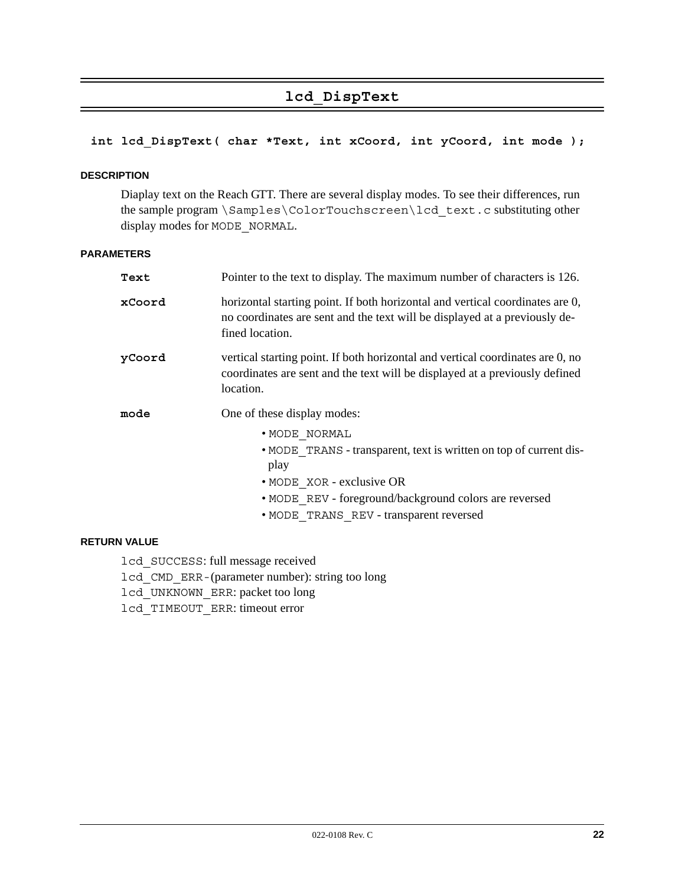# **lcd\_DispText**

# **int lcd\_DispText( char \*Text, int xCoord, int yCoord, int mode );**

#### **DESCRIPTION**

Diaplay text on the Reach GTT. There are several display modes. To see their differences, run the sample program \Samples\ColorTouchscreen\lcd\_text.c substituting other display modes for MODE\_NORMAL.

#### **PARAMETERS**

| Text   | Pointer to the text to display. The maximum number of characters is 126.                                                                                                       |
|--------|--------------------------------------------------------------------------------------------------------------------------------------------------------------------------------|
| xCoord | horizontal starting point. If both horizontal and vertical coordinates are 0,<br>no coordinates are sent and the text will be displayed at a previously de-<br>fined location. |
| yCoord | vertical starting point. If both horizontal and vertical coordinates are 0, no<br>coordinates are sent and the text will be displayed at a previously defined<br>location.     |
| mode   |                                                                                                                                                                                |
|        | One of these display modes:                                                                                                                                                    |
|        | • MODE NORMAL                                                                                                                                                                  |
|        | • MODE TRANS - transparent, text is written on top of current dis-<br>play                                                                                                     |
|        | • MODE XOR - exclusive OR                                                                                                                                                      |
|        | • MODE REV - foreground/background colors are reversed                                                                                                                         |

## **RETURN VALUE**

lcd\_SUCCESS: full message received lcd\_CMD\_ERR-(parameter number): string too long lcd\_UNKNOWN\_ERR: packet too long lcd\_TIMEOUT\_ERR: timeout error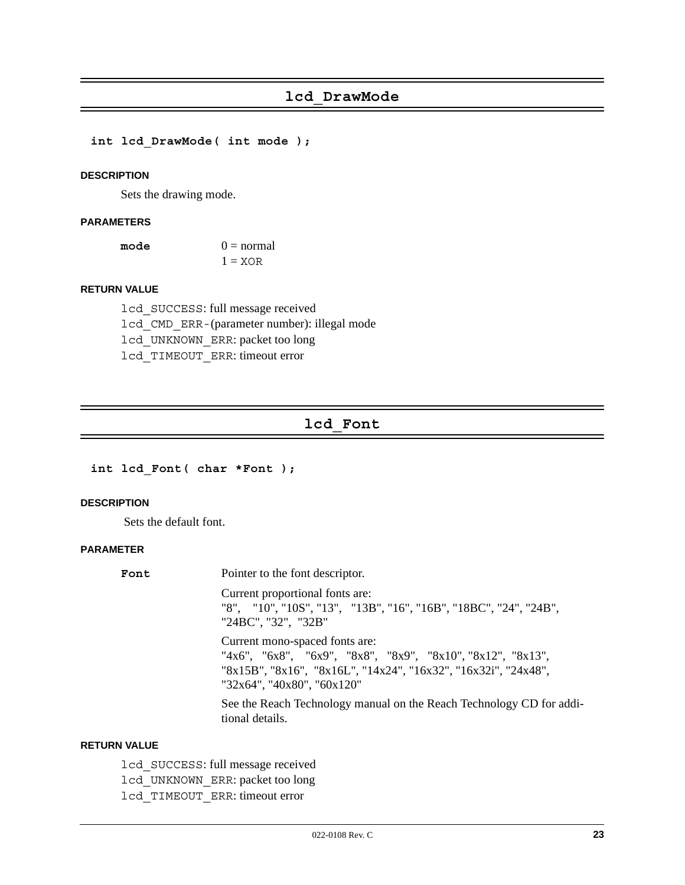**int lcd\_DrawMode( int mode );**

#### **DESCRIPTION**

Sets the drawing mode.

#### **PARAMETERS**

| mode | $0 = normal$ |
|------|--------------|
|      | $1 = XOR$    |

#### **RETURN VALUE**

lcd\_SUCCESS: full message received lcd\_CMD\_ERR-(parameter number): illegal mode lcd\_UNKNOWN\_ERR: packet too long lcd\_TIMEOUT\_ERR: timeout error

# **lcd\_Font**

**int lcd\_Font( char \*Font );**

#### **DESCRIPTION**

Sets the default font.

#### **PARAMETER**

| Font | Pointer to the font descriptor.                                                                                                                                                              |
|------|----------------------------------------------------------------------------------------------------------------------------------------------------------------------------------------------|
|      | Current proportional fonts are:<br>"8", "10", "10S", "13", "13B", "16", "16B", "18BC", "24", "24B",<br>"24BC", "32", "32B"                                                                   |
|      | Current mono-spaced fonts are:<br>"4x6", "6x8", "6x9", "8x8", "8x9", "8x10", "8x12", "8x13",<br>"8x15B", "8x16", "8x16L", "14x24", "16x32", "16x32i", "24x48",<br>"32x64", "40x80", "60x120" |
|      | See the Reach Technology manual on the Reach Technology CD for addi-<br>tional details.                                                                                                      |

#### **RETURN VALUE**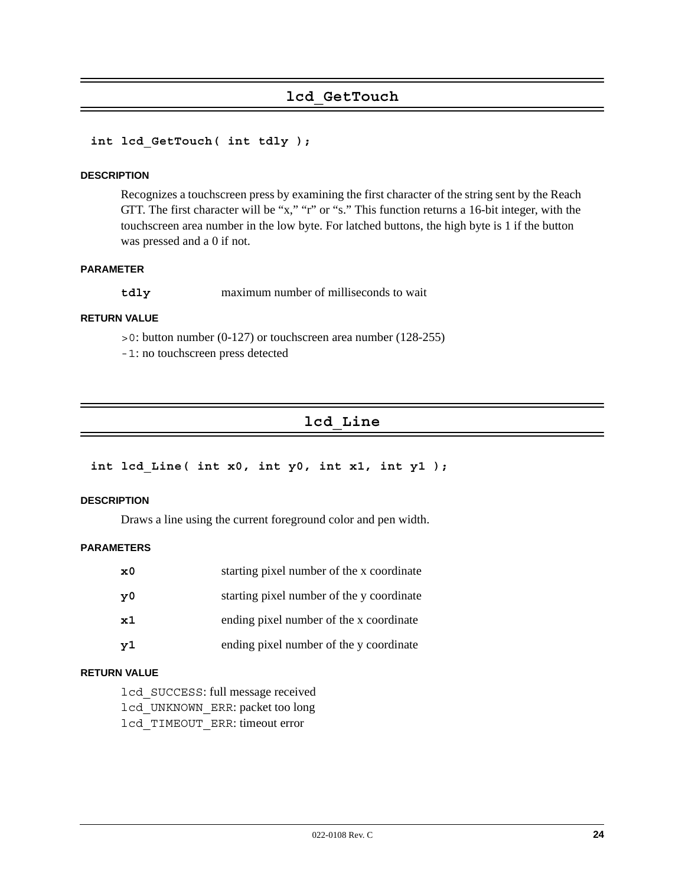# **lcd\_GetTouch**

#### **int lcd\_GetTouch( int tdly );**

#### **DESCRIPTION**

Recognizes a touchscreen press by examining the first character of the string sent by the Reach GTT. The first character will be "x," "r" or "s." This function returns a 16-bit integer, with the touchscreen area number in the low byte. For latched buttons, the high byte is 1 if the button was pressed and a 0 if not.

#### **PARAMETER**

**tdly** maximum number of milliseconds to wait

#### **RETURN VALUE**

- >0: button number (0-127) or touchscreen area number (128-255)
- -1: no touchscreen press detected

# **lcd\_Line**

```
int lcd_Line( int x0, int y0, int x1, int y1 );
```
#### **DESCRIPTION**

Draws a line using the current foreground color and pen width.

#### **PARAMETERS**

| $\mathbf{x}^{\,0}$ | starting pixel number of the x coordinate |
|--------------------|-------------------------------------------|
| y0                 | starting pixel number of the y coordinate |
| $\mathbf{x}1$      | ending pixel number of the x coordinate   |
| y1                 | ending pixel number of the y coordinate   |

#### **RETURN VALUE**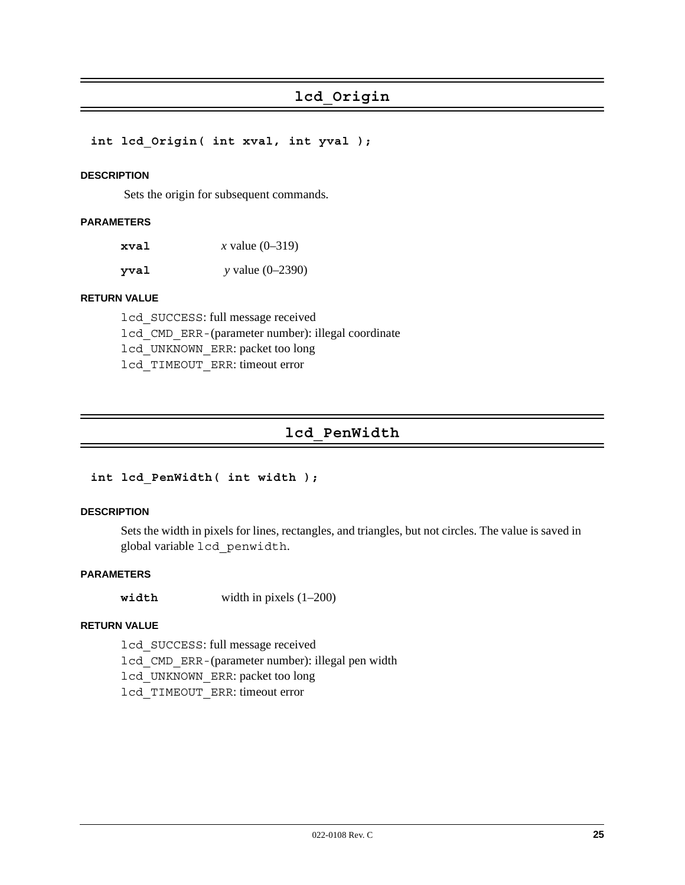# **lcd\_Origin**

**int lcd\_Origin( int xval, int yval );**

#### **DESCRIPTION**

Sets the origin for subsequent commands.

#### **PARAMETERS**

| xval | <i>x</i> value $(0-319)$ |
|------|--------------------------|
| yval | y value $(0-2390)$       |

#### **RETURN VALUE**

lcd\_SUCCESS: full message received lcd\_CMD\_ERR-(parameter number): illegal coordinate lcd\_UNKNOWN\_ERR: packet too long lcd\_TIMEOUT\_ERR: timeout error

# **lcd\_PenWidth**

#### **int lcd\_PenWidth( int width );**

#### **DESCRIPTION**

Sets the width in pixels for lines, rectangles, and triangles, but not circles. The value is saved in global variable lcd\_penwidth.

#### **PARAMETERS**

**width** width in pixels (1–200)

#### **RETURN VALUE**

lcd\_SUCCESS: full message received lcd\_CMD\_ERR-(parameter number): illegal pen width lcd\_UNKNOWN\_ERR: packet too long lcd\_TIMEOUT\_ERR: timeout error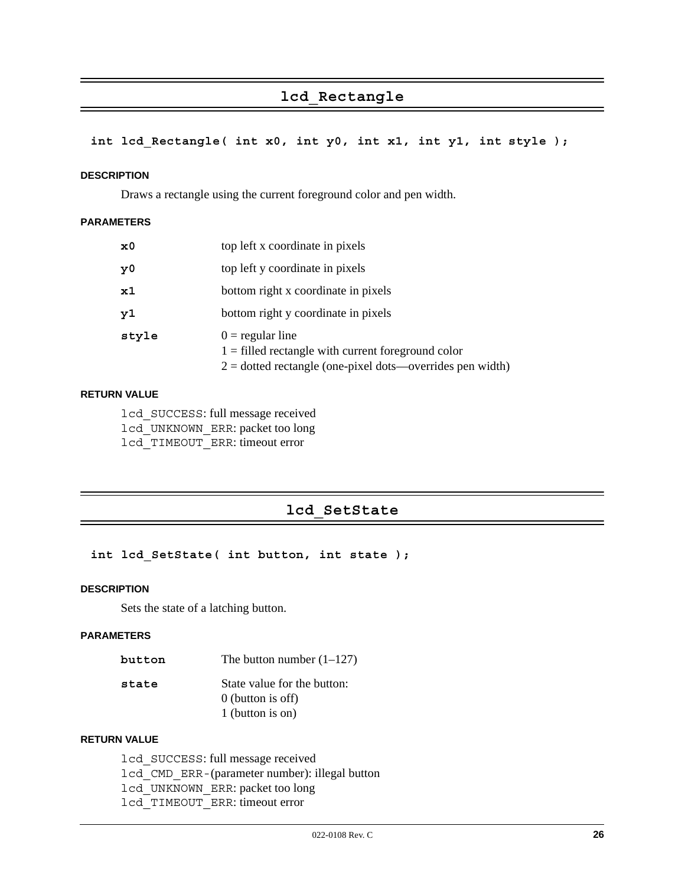# **lcd\_Rectangle**

#### **int lcd\_Rectangle( int x0, int y0, int x1, int y1, int style );**

#### **DESCRIPTION**

Draws a rectangle using the current foreground color and pen width.

#### **PARAMETERS**

| $\mathbf{x}^{\,0}$ | top left x coordinate in pixels                                                                                                           |
|--------------------|-------------------------------------------------------------------------------------------------------------------------------------------|
| y0                 | top left y coordinate in pixels                                                                                                           |
| $\mathbf{x}1$      | bottom right x coordinate in pixels                                                                                                       |
| y1                 | bottom right y coordinate in pixels                                                                                                       |
| style              | $0 =$ regular line<br>$1 =$ filled rectangle with current foreground color<br>$2 =$ dotted rectangle (one-pixel dots—overrides pen width) |

#### **RETURN VALUE**

lcd\_SUCCESS: full message received lcd\_UNKNOWN\_ERR: packet too long lcd\_TIMEOUT\_ERR: timeout error

# **lcd\_SetState**

#### **int lcd\_SetState( int button, int state );**

#### **DESCRIPTION**

Sets the state of a latching button.

#### **PARAMETERS**

| button | The button number $(1-127)$ |  |
|--------|-----------------------------|--|
|--------|-----------------------------|--|

| state | State value for the button: |
|-------|-----------------------------|
|       | $0$ (button is off)         |
|       | 1 (button is on)            |

#### **RETURN VALUE**

lcd\_SUCCESS: full message received lcd\_CMD\_ERR-(parameter number): illegal button lcd\_UNKNOWN\_ERR: packet too long lcd\_TIMEOUT\_ERR: timeout error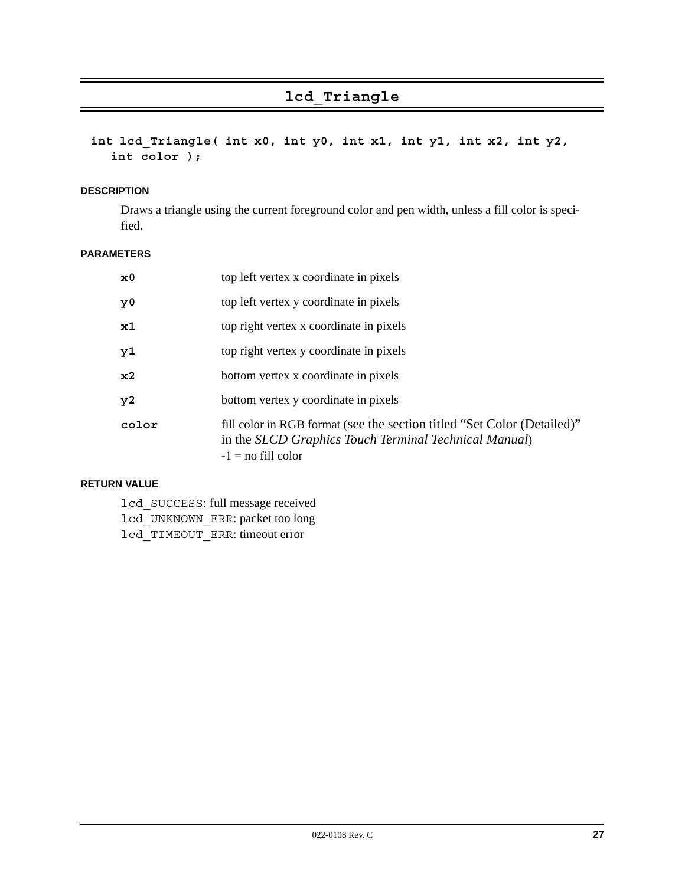# **lcd\_Triangle**

**int lcd\_Triangle( int x0, int y0, int x1, int y1, int x2, int y2, int color );**

#### **DESCRIPTION**

Draws a triangle using the current foreground color and pen width, unless a fill color is specified.

#### **PARAMETERS**

| $\mathbf{x}^{\,0}$ | top left vertex x coordinate in pixels                                                                                                                   |
|--------------------|----------------------------------------------------------------------------------------------------------------------------------------------------------|
| y <sub>0</sub>     | top left vertex y coordinate in pixels                                                                                                                   |
| x1                 | top right vertex x coordinate in pixels                                                                                                                  |
| y1                 | top right vertex y coordinate in pixels                                                                                                                  |
| x <sub>2</sub>     | bottom vertex x coordinate in pixels                                                                                                                     |
| y2                 | bottom vertex y coordinate in pixels                                                                                                                     |
| color              | fill color in RGB format (see the section titled "Set Color (Detailed)"<br>in the SLCD Graphics Touch Terminal Technical Manual)<br>$-1 =$ no fill color |

#### **RETURN VALUE**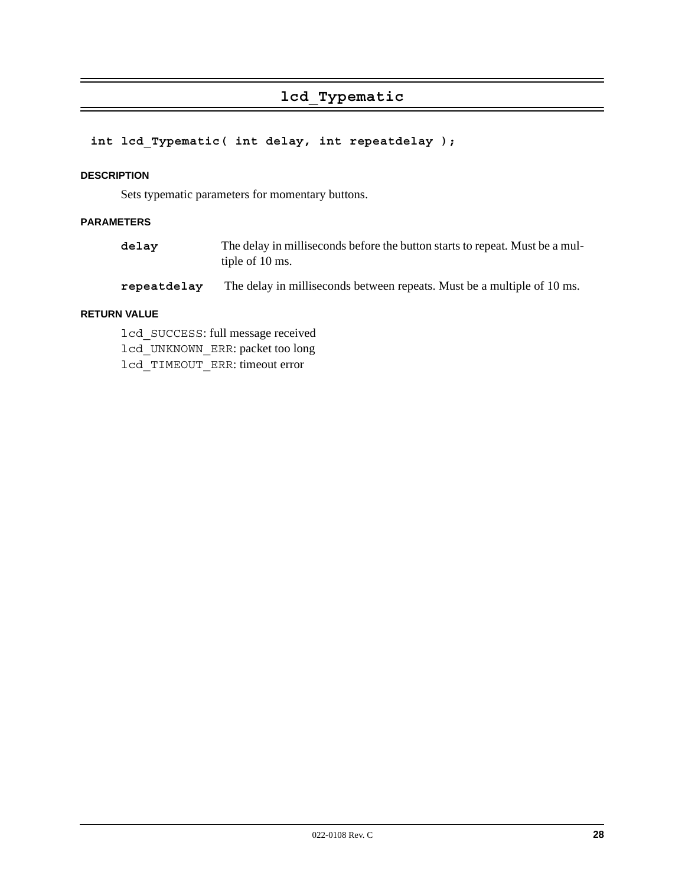# **lcd\_Typematic**

# **int lcd\_Typematic( int delay, int repeatdelay );**

#### **DESCRIPTION**

Sets typematic parameters for momentary buttons.

#### **PARAMETERS**

| delay | The delay in milliseconds before the button starts to repeat. Must be a mul- |
|-------|------------------------------------------------------------------------------|
|       | tiple of 10 ms.                                                              |

**repeatdelay** The delay in milliseconds between repeats. Must be a multiple of 10 ms.

#### **RETURN VALUE**